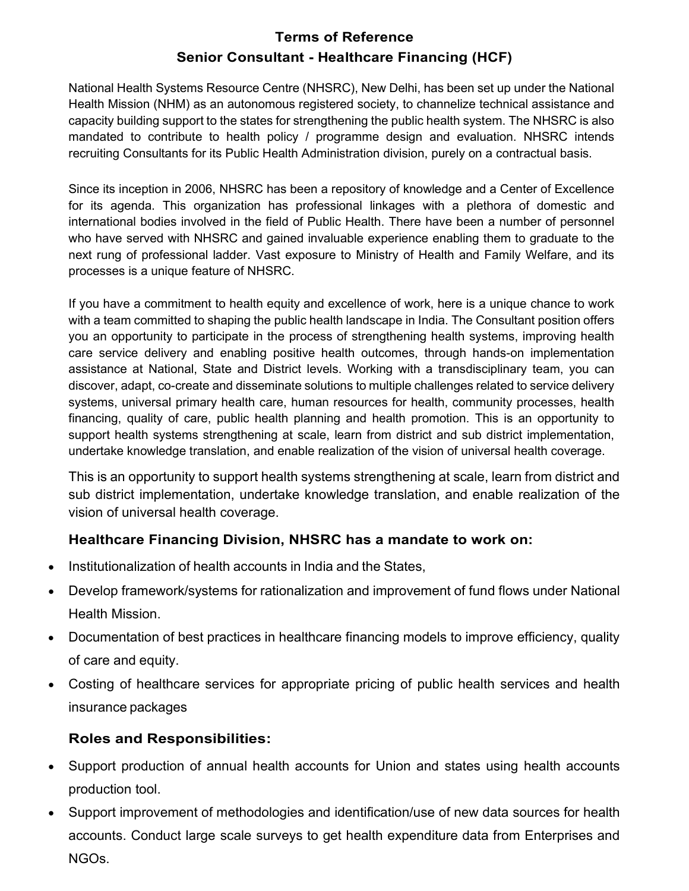# Terms of Reference Senior Consultant - Healthcare Financing (HCF)

National Health Systems Resource Centre (NHSRC), New Delhi, has been set up under the National Health Mission (NHM) as an autonomous registered society, to channelize technical assistance and capacity building support to the states for strengthening the public health system. The NHSRC is also mandated to contribute to health policy / programme design and evaluation. NHSRC intends recruiting Consultants for its Public Health Administration division, purely on a contractual basis.

Since its inception in 2006, NHSRC has been a repository of knowledge and a Center of Excellence for its agenda. This organization has professional linkages with a plethora of domestic and international bodies involved in the field of Public Health. There have been a number of personnel who have served with NHSRC and gained invaluable experience enabling them to graduate to the next rung of professional ladder. Vast exposure to Ministry of Health and Family Welfare, and its processes is a unique feature of NHSRC.

If you have a commitment to health equity and excellence of work, here is a unique chance to work with a team committed to shaping the public health landscape in India. The Consultant position offers you an opportunity to participate in the process of strengthening health systems, improving health care service delivery and enabling positive health outcomes, through hands-on implementation assistance at National, State and District levels. Working with a transdisciplinary team, you can discover, adapt, co-create and disseminate solutions to multiple challenges related to service delivery systems, universal primary health care, human resources for health, community processes, health financing, quality of care, public health planning and health promotion. This is an opportunity to support health systems strengthening at scale, learn from district and sub district implementation, undertake knowledge translation, and enable realization of the vision of universal health coverage.

This is an opportunity to support health systems strengthening at scale, learn from district and sub district implementation, undertake knowledge translation, and enable realization of the vision of universal health coverage.

# Healthcare Financing Division, NHSRC has a mandate to work on:

- Institutionalization of health accounts in India and the States,
- Develop framework/systems for rationalization and improvement of fund flows under National Health Mission.
- Documentation of best practices in healthcare financing models to improve efficiency, quality of care and equity.
- Costing of healthcare services for appropriate pricing of public health services and health insurance packages

### Roles and Responsibilities:

- Support production of annual health accounts for Union and states using health accounts production tool.
- Support improvement of methodologies and identification/use of new data sources for health accounts. Conduct large scale surveys to get health expenditure data from Enterprises and NGOs.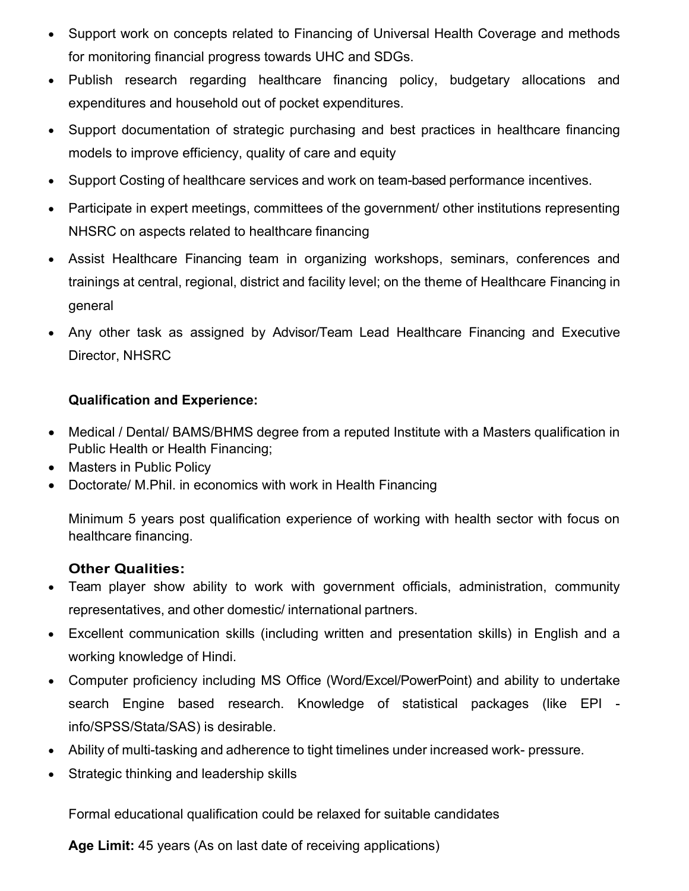- Support work on concepts related to Financing of Universal Health Coverage and methods for monitoring financial progress towards UHC and SDGs.
- Publish research regarding healthcare financing policy, budgetary allocations and expenditures and household out of pocket expenditures.
- Support documentation of strategic purchasing and best practices in healthcare financing models to improve efficiency, quality of care and equity
- Support Costing of healthcare services and work on team-based performance incentives.
- Participate in expert meetings, committees of the government/ other institutions representing NHSRC on aspects related to healthcare financing
- Assist Healthcare Financing team in organizing workshops, seminars, conferences and trainings at central, regional, district and facility level; on the theme of Healthcare Financing in general
- Any other task as assigned by Advisor/Team Lead Healthcare Financing and Executive Director, NHSRC

# Qualification and Experience:

- Medical / Dental/ BAMS/BHMS degree from a reputed Institute with a Masters qualification in Public Health or Health Financing;
- Masters in Public Policy
- Doctorate/ M.Phil. in economics with work in Health Financing

Minimum 5 years post qualification experience of working with health sector with focus on healthcare financing.

# Other Qualities:

- Team player show ability to work with government officials, administration, community representatives, and other domestic/ international partners.
- Excellent communication skills (including written and presentation skills) in English and a working knowledge of Hindi.
- Computer proficiency including MS Office (Word/Excel/PowerPoint) and ability to undertake search Engine based research. Knowledge of statistical packages (like EPI info/SPSS/Stata/SAS) is desirable.
- Ability of multi-tasking and adherence to tight timelines under increased work- pressure.
- Strategic thinking and leadership skills

Formal educational qualification could be relaxed for suitable candidates

Age Limit: 45 years (As on last date of receiving applications)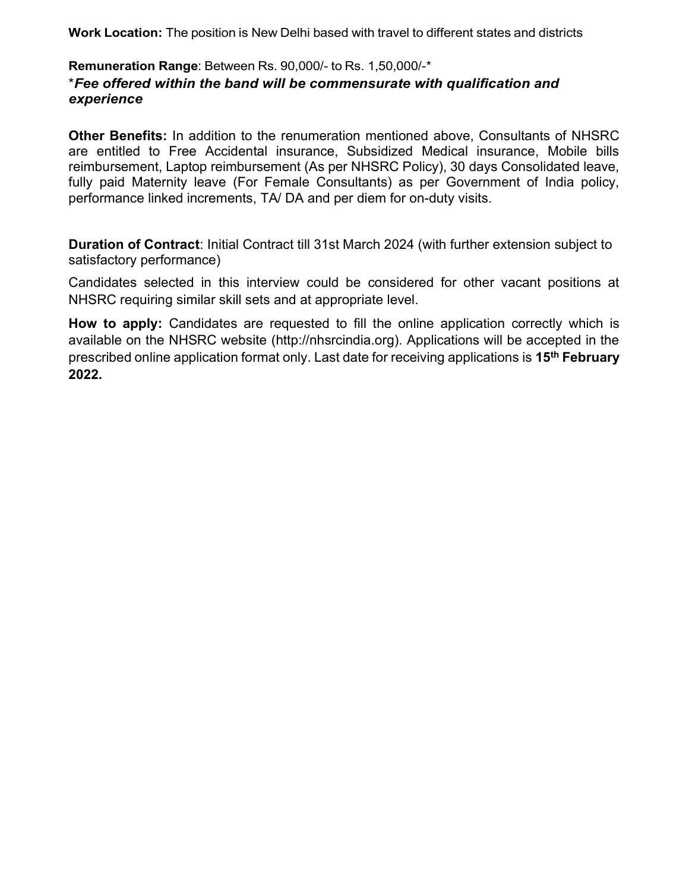Work Location: The position is New Delhi based with travel to different states and districts

### Remuneration Range: Between Rs. 90,000/- to Rs. 1,50,000/-\* \*Fee offered within the band will be commensurate with qualification and experience

Other Benefits: In addition to the renumeration mentioned above, Consultants of NHSRC are entitled to Free Accidental insurance, Subsidized Medical insurance, Mobile bills reimbursement, Laptop reimbursement (As per NHSRC Policy), 30 days Consolidated leave, fully paid Maternity leave (For Female Consultants) as per Government of India policy, performance linked increments, TA/ DA and per diem for on-duty visits.

Duration of Contract: Initial Contract till 31st March 2024 (with further extension subject to satisfactory performance)

Candidates selected in this interview could be considered for other vacant positions at NHSRC requiring similar skill sets and at appropriate level.

How to apply: Candidates are requested to fill the online application correctly which is available on the NHSRC website (http://nhsrcindia.org). Applications will be accepted in the prescribed online application format only. Last date for receiving applications is 15<sup>th</sup> February 2022.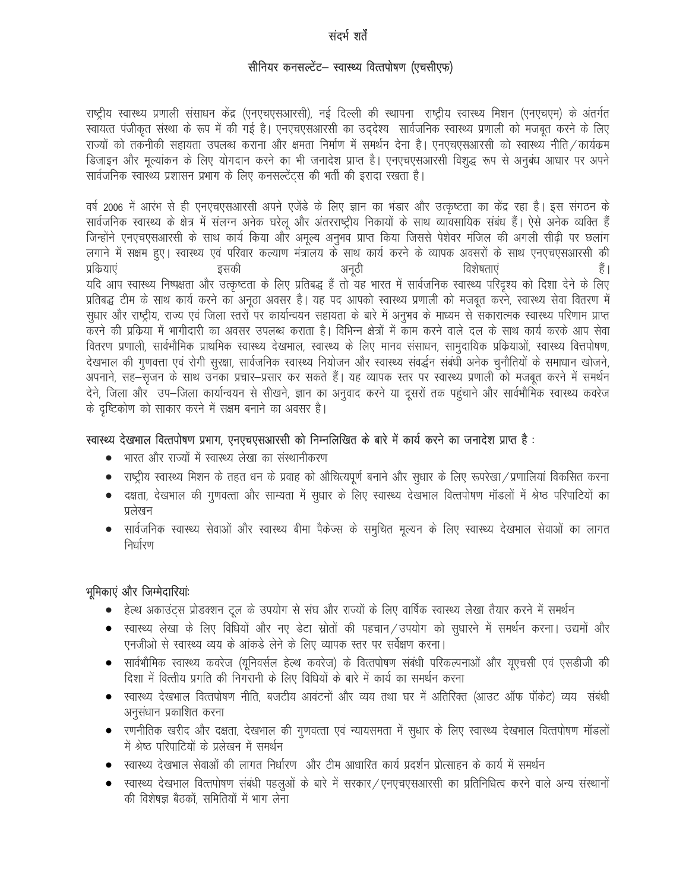#### संदर्भ शर्ते

#### सीनियर कनसल्टेंट– स्वास्थ्य वित्तपोषण (एचसीएफ)

राष्ट्रीय स्वास्थ्य प्रणाली संसाधन केंद्र (एनएचएसआरसी), नई दिल्ली की स्थापना) राष्ट्रीय स्वास्थ्य मिशन (एनएचएम) के अंतर्गत स्वायत्त पंजीकृत संस्था के रूप में की गई है। एनएचएसआरसी का उद्देश्य सार्वजनिक स्वास्थ्य प्रणाली को मजबूत करने के लिए राज्यों को तकनीकी सहायता उपलब्ध कराना और क्षमता निर्माण में समर्थन देना है। एनएचएसआरसी को स्वास्थ्य नीति ⁄ कार्यक्रम डिजाइन और मूल्यांकन के लिए योगदान करने का भी जनादेश प्राप्त है। एनएचएसआरसी विशुद्ध रूप से अनुबंध आधार पर अपने सार्वजनिक स्वास्थ्य प्रशासन प्रभाग के लिए कनसल्टेंटस की भर्ती की इरादा रखता है।

वर्ष 2006 में आरंभ से ही एनएचएसआरसी अपने एजेंडे के लिए ज्ञान का भंडार और उत्कृष्टता का केंद्र रहा है। इस संगठन के सार्वजनिक स्वास्थ्य के क्षेत्र में संलग्न अनेक घरेलू और अंतरराष्ट्रीय निकायों के साथ व्यावसायिक संबंध हैं। ऐसे अनेक व्यक्ति हैं जिन्होंने एनएचएसआरसी के साथ कार्य किया और अमूल्य अनुभव प्राप्त किया जिससे पेशेवर मंजिल की अगली सीढ़ी पर छलांग लगाने में सक्षम हुए। स्वास्थ्य एवं परिवार कल्याण मंत्रालय के साथ कार्य करने के व्यापक अवसरों के साथ एनएचएसआरसी की विशेषताएं हैं । प्रक्रियाएं इसकी अनुठी यदि आप स्वास्थ्य निष्पक्षता और उत्कृष्टता के लिए प्रतिबद्ध हैं तो यह भारत में सार्वजनिक स्वास्थ्य परिदृश्य को दिशा देने के लिए प्रतिबद्ध टीम के साथ कार्य करने का अनूठा अवसर है। यह पद आपको स्वास्थ्य प्रणाली को मजबूत करने, स्वास्थ्य सेवा वितरण में सुधार और राष्ट्रीय, राज्य एवं जिला स्तरों पर कार्यान्वयन सहायता के बारे में अनुभव के माध्यम से सकारात्मक स्वास्थ्य परिणाम प्राप्त करने की प्रकिया में भागीदारी का अवसर उपलब्ध कराता है। विभिन्न क्षेत्रों में काम करने वाले दल के साथ कार्य करके आप सेवा वितरण प्रणाली, सार्वभौमिक प्राथमिक स्वास्थ्य देखभाल, स्वास्थ्य के लिए मानव संसाधन, सामुदायिक प्रक्रियाओं, स्वास्थ्य वित्तपोषण, देखभाल की गुणवत्ता एवं रोगी सुरक्षा, सार्वजनिक स्वास्थ्य नियोजन और स्वास्थ्य संवर्द्धन संबंधो अनेक चुनौतियों के समाधान खोजने, अपनाने, सह—सृजन के साथ उनका प्रचार—प्रसार कर सकते हैं। यह व्यापक स्तर पर स्वास्थ्य प्रणाली को मजबूत करने में समर्थन देने, जिला और उप–जिला कार्यान्वयन से सीखने, ज्ञान का अनुवाद करने या दूसरों तक पहुंचाने और सार्वभौमिक स्वास्थ्य कवरेज के दृष्टिकोण को साकार करने में सक्षम बनाने का अवसर है।

#### स्वास्थ्य देखभाल वित्तपोषण प्रभाग, एनएचएसआरसी को निम्नलिखित के बारे में कार्य करने का जनादेश प्राप्त है :

- भारत और राज्यों में स्वास्थ्य लेखा का संस्थानीकरण
- राष्ट्रीय स्वास्थ्य मिशन के तहत धन के प्रवाह को औचित्यपूर्ण बनाने और सुधार के लिए रूपरेखा / प्रणालियां विकसित करना
- दक्षता, देखभाल की गुणवत्ता और साम्यता में सुधार के लिए स्वास्थ्य देखभाल वित्तपोषण मॉडलों में श्रेष्ठ परिपाटियों का प्रलेखन
- सार्वजनिक स्वास्थ्य सेवाओं और स्वास्थ्य बीमा पैकेज्स के समुचित मूल्यन के लिए स्वास्थ्य देखभाल सेवाओं का लागत  $\bullet$ निर्धारण

#### भूमिकाएं और जिम्मेदारियां

- हेल्थ अकाउंट्स प्रोडक्शन टूल के उपयोग से संघ और राज्यों के लिए वार्षिक स्वास्थ्य लेखा तैयार करने में समर्थन
- स्वास्थ्य लेखा के लिए विधियों और नए डेटा स्रोतों की पहचान / उपयोग को सुधारने में समर्थन करना। उद्यमों और एनजीओ से स्वास्थ्य व्यय के आंकड़े लेने के लिए व्यापक स्तर पर सर्वेक्षण करना।
- सार्वभौमिक स्वास्थ्य कवरेज (युनिवर्सल हेल्थ कवरेज) के वित्तपोषण संबंधी परिकल्पनाओं और युएचसी एवं एसडीजी की दिशा में वित्तीय प्रगति की निगरानी के लिए विधियों के बारे में कार्य का समर्थन करना
- स्वास्थ्य देखभाल वित्तपोषण नीति, बजटीय आवंटनों और व्यय तथा घर में अतिरिक्त (आउट ऑफ पॉकेट) व्यय) संबंधी अनुसंधान प्रकाशित करना
- रणनीतिक खरीद और दक्षता, देखभाल की गुणवत्ता एवं न्यायसमता में सुधार के लिए स्वास्थ्य देखभाल वित्तपोषण मॉडलों में श्रेष्ठ परिपाटियों के प्रलेखन में समर्थन
- स्वास्थ्य देखभाल सेवाओं की लागत निर्धारण और टीम आधारित कार्य प्रदर्शन प्रोत्साहन के कार्य में समर्थन
- स्वास्थ्य देखभाल वित्तपोषण संबंधी पहलुओं के बारे में सरकार/एनएचएसआरसी का प्रतिनिधित्व करने वाले अन्य संस्थानों की विशेषज्ञ बैठकों. समितियों में भाग लेना